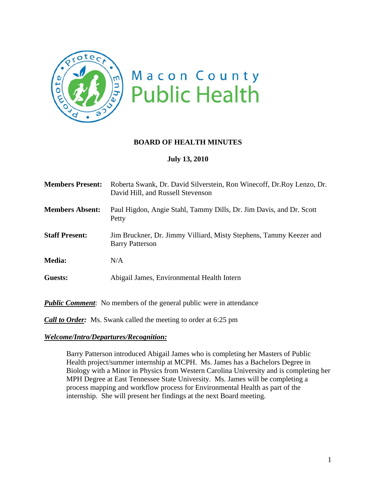

## **BOARD OF HEALTH MINUTES**

## **July 13, 2010**

| <b>Members Present:</b> | Roberta Swank, Dr. David Silverstein, Ron Winecoff, Dr. Roy Lenzo, Dr.<br>David Hill, and Russell Stevenson |
|-------------------------|-------------------------------------------------------------------------------------------------------------|
| <b>Members Absent:</b>  | Paul Higdon, Angie Stahl, Tammy Dills, Dr. Jim Davis, and Dr. Scott<br>Petty                                |
| <b>Staff Present:</b>   | Jim Bruckner, Dr. Jimmy Villiard, Misty Stephens, Tammy Keezer and<br><b>Barry Patterson</b>                |
| <b>Media:</b>           | N/A                                                                                                         |
| Guests:                 | Abigail James, Environmental Health Intern                                                                  |

*Public Comment*: No members of the general public were in attendance

*Call to Order:* Ms. Swank called the meeting to order at 6:25 pm

#### *Welcome/Intro/Departures/Recognition:*

Barry Patterson introduced Abigail James who is completing her Masters of Public Health project/summer internship at MCPH. Ms. James has a Bachelors Degree in Biology with a Minor in Physics from Western Carolina University and is completing her MPH Degree at East Tennessee State University. Ms. James will be completing a process mapping and workflow process for Environmental Health as part of the internship. She will present her findings at the next Board meeting.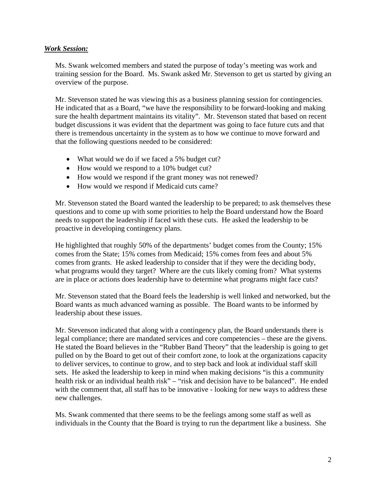### *Work Session:*

Ms. Swank welcomed members and stated the purpose of today's meeting was work and training session for the Board. Ms. Swank asked Mr. Stevenson to get us started by giving an overview of the purpose.

Mr. Stevenson stated he was viewing this as a business planning session for contingencies. He indicated that as a Board, "we have the responsibility to be forward-looking and making sure the health department maintains its vitality". Mr. Stevenson stated that based on recent budget discussions it was evident that the department was going to face future cuts and that there is tremendous uncertainty in the system as to how we continue to move forward and that the following questions needed to be considered:

- What would we do if we faced a 5% budget cut?
- How would we respond to a 10% budget cut?
- How would we respond if the grant money was not renewed?
- How would we respond if Medicaid cuts came?

Mr. Stevenson stated the Board wanted the leadership to be prepared; to ask themselves these questions and to come up with some priorities to help the Board understand how the Board needs to support the leadership if faced with these cuts. He asked the leadership to be proactive in developing contingency plans.

He highlighted that roughly 50% of the departments' budget comes from the County; 15% comes from the State; 15% comes from Medicaid; 15% comes from fees and about 5% comes from grants. He asked leadership to consider that if they were the deciding body, what programs would they target? Where are the cuts likely coming from? What systems are in place or actions does leadership have to determine what programs might face cuts?

Mr. Stevenson stated that the Board feels the leadership is well linked and networked, but the Board wants as much advanced warning as possible. The Board wants to be informed by leadership about these issues.

Mr. Stevenson indicated that along with a contingency plan, the Board understands there is legal compliance; there are mandated services and core competencies – these are the givens. He stated the Board believes in the "Rubber Band Theory" that the leadership is going to get pulled on by the Board to get out of their comfort zone, to look at the organizations capacity to deliver services, to continue to grow, and to step back and look at individual staff skill sets. He asked the leadership to keep in mind when making decisions "is this a community health risk or an individual health risk" – "risk and decision have to be balanced". He ended with the comment that, all staff has to be innovative - looking for new ways to address these new challenges.

Ms. Swank commented that there seems to be the feelings among some staff as well as individuals in the County that the Board is trying to run the department like a business. She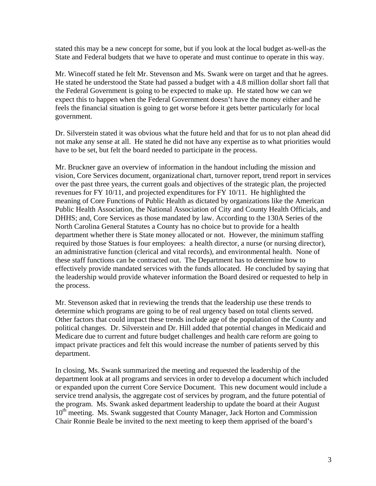stated this may be a new concept for some, but if you look at the local budget as-well-as the State and Federal budgets that we have to operate and must continue to operate in this way.

Mr. Winecoff stated he felt Mr. Stevenson and Ms. Swank were on target and that he agrees. He stated he understood the State had passed a budget with a 4.8 million dollar short fall that the Federal Government is going to be expected to make up. He stated how we can we expect this to happen when the Federal Government doesn't have the money either and he feels the financial situation is going to get worse before it gets better particularly for local government.

Dr. Silverstein stated it was obvious what the future held and that for us to not plan ahead did not make any sense at all. He stated he did not have any expertise as to what priorities would have to be set, but felt the board needed to participate in the process.

Mr. Bruckner gave an overview of information in the handout including the mission and vision, Core Services document, organizational chart, turnover report, trend report in services over the past three years, the current goals and objectives of the strategic plan, the projected revenues for FY 10/11, and projected expenditures for FY 10/11. He highlighted the meaning of Core Functions of Public Health as dictated by organizations like the American Public Health Association, the National Association of City and County Health Officials, and DHHS; and, Core Services as those mandated by law. According to the 130A Series of the North Carolina General Statutes a County has no choice but to provide for a health department whether there is State money allocated or not. However, the minimum staffing required by those Statues is four employees: a health director, a nurse (or nursing director), an administrative function (clerical and vital records), and environmental health. None of these staff functions can be contracted out. The Department has to determine how to effectively provide mandated services with the funds allocated. He concluded by saying that the leadership would provide whatever information the Board desired or requested to help in the process.

Mr. Stevenson asked that in reviewing the trends that the leadership use these trends to determine which programs are going to be of real urgency based on total clients served. Other factors that could impact these trends include age of the population of the County and political changes. Dr. Silverstein and Dr. Hill added that potential changes in Medicaid and Medicare due to current and future budget challenges and health care reform are going to impact private practices and felt this would increase the number of patients served by this department.

In closing, Ms. Swank summarized the meeting and requested the leadership of the department look at all programs and services in order to develop a document which included or expanded upon the current Core Service Document. This new document would include a service trend analysis, the aggregate cost of services by program, and the future potential of the program. Ms. Swank asked department leadership to update the board at their August 10<sup>th</sup> meeting. Ms. Swank suggested that County Manager, Jack Horton and Commission Chair Ronnie Beale be invited to the next meeting to keep them apprised of the board's